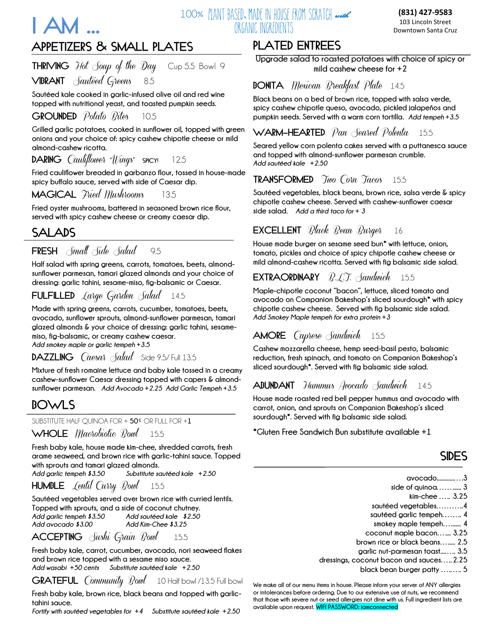

### **100% PLANT BASED, MADE IN HOUSE FROM SCRATCH with the contract (831) 427-9583** ORGANIC INGREDIENTS

103 Lincoln Street Downtown Santa Cruz

# **APPETIZERS & SMALL PLATES**

THRIVING *Hot Soup of the Day* Cup 5.5 Bowl 9

**VIBRANT** Sautéed Greens8.5

**Sautéed kale cooked in garlic-infused olive oil and red wine topped with nutritional yeast, and toasted pumpkin seeds.**

**GROUNDED** *Potato Rites* 10.5

**Grilled garlic potatoes, cooked in sunflower oil, topped with green onions and your choice of: spicy cashew chipotle cheese or mild almond-cashew ricotta.**

**DARING** Cauliflower "Wings" **SPICY!** 12.5

**Fried cauliflower breaded in garbanzo flour, tossed in house-made spicy buffalo sauce, served with side of Caesar dip.**

**MAGICAL** Fried Mushrooms13.5

**Fried oyster mushrooms, battered in seasoned brown rice flour, served with spicy cashew cheese or creamy caesar dip.** 

## **SALADS**

**FRESH** Small Side Salad9.5

**Half salad with spring greens, carrots, tomatoes, beets, almondsunflower parmesan, tamari glazed almonds and your choice of dressing: garlic tahini, sesame-miso, fig-balsamic or Caesar.**

## **FULFILLED** Large Garden Salad 14.5

**Made with spring greens, carrots, cucumber, tomatoes, beets, avocado, sunflower sprouts, almond-sunflower parmesan, tamari glazed almonds & your choice of dressing: garlic tahini, sesamemiso, fig-balsamic, or creamy cashew caesar.**

*Add smokey maple or garlic tempeh +3.5*

### **DAZZLING** *Caesar Salad* Side 9.5/ Full 13.5

**Mixture of fresh romaine lettuce and baby kale tossed in a creamy cashew-sunflower Caesar dressing topped with capers & almondsunflower parmesan.** *Add Avocado +2.25 Add Garlic Tempeh +3.5*

## **BOWLS**

SUBSTITUTE HALF QUINOA FOR + **50**¢ OR FULL FOR +**1**

### **WHOLE** Macrobiotic Bowl 15.5

**Fresh baby kale, house made kim-chee, shredded carrots, fresh arame seaweed, and brown rice with garlic-tahini sauce. Topped with sprouts and tamari glazed almonds.**

*Add garlic tempeh \$3.50**Substitute sautéed kale +2.50*

**HUMBLE** Lentil Curry Bowl 15.5

**Sautéed vegetables served over brown rice with curried lentils. Topped with sprouts, and a side of coconut chutney.**  *Add garlic tempeh \$3.50**Add sautéed kale \$2.50* *Add avocado \$3.00**Add Kim-Chee \$3.25*

### **ACCEPTING** Sushi Grain Bowl 15.5

**Fresh baby kale, carrot, cucumber, avocado, nori seaweed flakes and brown rice topped with a sesame miso sauce.**  *Add wasabi +50 cents Substitute sautéed kale +2.50*

### **GRATEFUL** *Community Bowl* 10 Half bowl /13.5 Full bowl

**Fresh baby kale, brown rice, black beans and topped with garlictahini sauce.**

*Fortify with sautéed vegetables for +4 Substitute sautéed kale +2.50*

# **PLATED ENTREES**

**Upgrade salad to roasted potatoes with choice of spicy or mild cashew cheese for +2**

### **BONITA** *Mexican Breakfast Plate* 14.5

**Black beans on a bed of brown rice, topped with salsa verde, spicy cashew chipotle queso, avocado, pickled jalapeños and pumpkin seeds. Served with a warm corn tortilla.** *Add tempeh +3.5*

### **WARM-HEARTED** Pan Seared Polenta 15.5

**Seared yellow corn polenta cakes served with a puttanesca sauce and topped with almond-sunflower parmesan crumble.**  *Add sautéed kale +2.50*

### **TRANSFORMED** Two Corn Tacos 15.5

**Sautéed vegetables, black beans, brown rice, salsa verde & spicy chipotle cashew cheese. Served with cashew-sunflower caesar side salad.** *Add a third taco for + 3*

### **EXCELLENT** Black Bean Burger 16

**House made burger on sesame seed bun\* with lettuce, onion, tomato, pickles and choice of spicy chipotle cashew cheese or mild almond-cashew ricotta. Served with fig balsamic side salad.**

## **EXTRAORDINARY B.C.T.** Sandwich 15.5

**Maple-chipotle coconut "bacon", lettuce, sliced tomato and avocado on Companion Bakeshop's sliced sourdough\* with spicy chipotle cashew cheese. Served with fig balsamic side salad.**  *Add Smokey Maple tempeh for extra protein +3*

## **AMORE** Caprese Sandwich 15.5

**Cashew mozzarella cheese, hemp seed-basil pesto, balsamic reduction, fresh spinach, and tomato on Companion Bakeshop's sliced sourdough\*. Served with fig balsamic side salad.** 

### **ABUNDANT** Hummus Avocado Sandwich 14.5

**House made roasted red bell pepper hummus and avocado with carrot, onion, and sprouts on Companion Bakeshop's sliced sourdough\*. Served with fig balsamic side salad.** 

**\*Gluten Free Sandwich Bun substitute available +1** 

## **SIDES**

- **avocado............….3**
- **side of quinoa……...... 3** 
	- **kim-chee …..** .**3.25**
- **sautéed vegetables………..4**
- **sautéed garlic tempeh…….. 4**
- **smokey maple tempeh…....... 4**
- **coconut maple bacon….... 3.25 brown rice or black beans…..... 2.5**
- **garlic nut-parmesan toast...….. 3.5**
- **dressings, coconut bacon and sauces…..**.**2.25** 
	- **black bean burger patty ….….. 5**

**We make all of our menu items in house. Please inform your server of ANY allergies or intolerances before ordering. Due to our extensive use of nuts, we recommend that those with severe nut or seed allergies not dine with us. Full ingredient lists are available upon request. WIFI PASSWORD: iamconnected**